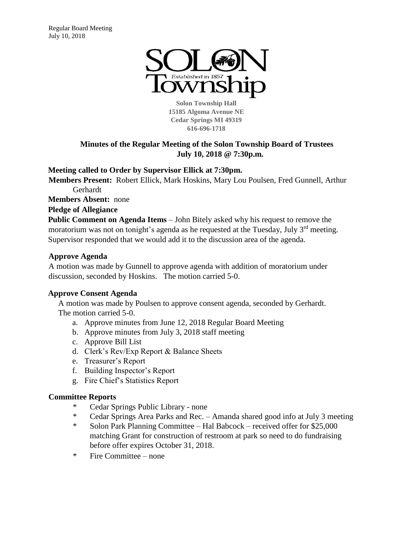

**Solon Township Hall 15185 Algoma Avenue NE Cedar Springs MI 49319 616-696-1718** 

# **Minutes of the Regular Meeting of the Solon Township Board of Trustees July 10, 2018 @ 7:30p.m.**

**Meeting called to Order by Supervisor Ellick at 7:30pm.** 

**Members Present:** Robert Ellick, Mark Hoskins, Mary Lou Poulsen, Fred Gunnell, Arthur Gerhardt

**Members Absent:** none

**Pledge of Allegiance**

**Public Comment on Agenda Items** – John Bitely asked why his request to remove the moratorium was not on tonight's agenda as he requested at the Tuesday, July  $3<sup>rd</sup>$  meeting. Supervisor responded that we would add it to the discussion area of the agenda.

## **Approve Agenda**

A motion was made by Gunnell to approve agenda with addition of moratorium under discussion, seconded by Hoskins. The motion carried 5-0.

## **Approve Consent Agenda**

A motion was made by Poulsen to approve consent agenda, seconded by Gerhardt. The motion carried 5-0.

- a. Approve minutes from June 12, 2018 Regular Board Meeting
- b. Approve minutes from July 3, 2018 staff meeting
- c. Approve Bill List
- d. Clerk's Rev/Exp Report & Balance Sheets
- e. Treasurer's Report
- f. Building Inspector's Report
- g. Fire Chief's Statistics Report

# **Committee Reports**

- \* Cedar Springs Public Library none
- \* Cedar Springs Area Parks and Rec. Amanda shared good info at July 3 meeting
- \* Solon Park Planning Committee Hal Babcock received offer for \$25,000 matching Grant for construction of restroom at park so need to do fundraising before offer expires October 31, 2018.
- \* Fire Committee none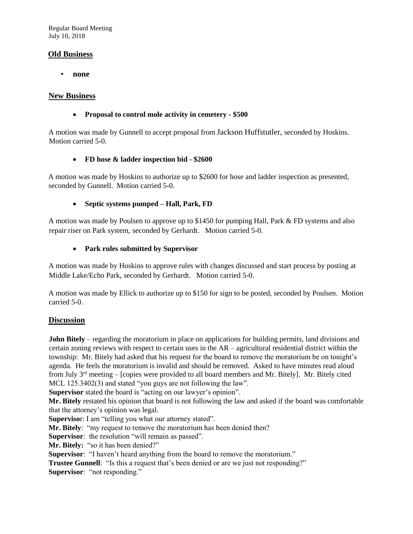Regular Board Meeting July 10, 2018

## **Old Business**

• **none**

#### **New Business**

#### • **Proposal to control mole activity in cemetery - \$500**

A motion was made by Gunnell to accept proposal from Jackson Huffstutler, seconded by Hoskins. Motion carried 5-0.

#### • **FD hose & ladder inspection bid - \$2600**

A motion was made by Hoskins to authorize up to \$2600 for hose and ladder inspection as presented, seconded by Gunnell. Motion carried 5-0.

## • **Septic systems pumped – Hall, Park, FD**

A motion was made by Poulsen to approve up to \$1450 for pumping Hall, Park & FD systems and also repair riser on Park system, seconded by Gerhardt. Motion carried 5-0.

#### • **Park rules submitted by Supervisor**

A motion was made by Hoskins to approve rules with changes discussed and start process by posting at Middle Lake/Echo Park, seconded by Gerhardt. Motion carried 5-0.

A motion was made by Ellick to authorize up to \$150 for sign to be posted, seconded by Poulsen. Motion carried 5-0.

## **Discussion**

**John Bitely** – regarding the moratorium in place on applications for building permits, land divisions and certain zoning reviews with respect to certain uses in the AR – agricultural residential district within the township: Mr. Bitely had asked that his request for the board to remove the moratorium be on tonight's agenda. He feels the moratorium is invalid and should be removed. Asked to have minutes read aloud from July 3rd meeting – [copies were provided to all board members and Mr. Bitely]. Mr. Bitely cited MCL 125.3402(3) and stated "you guys are not following the law".

**Supervisor** stated the board is "acting on our lawyer's opinion".

**Mr. Bitely** restated his opinion that board is not following the law and asked if the board was comfortable that the attorney's opinion was legal.

**Superviso**r: I am "telling you what our attorney stated".

**Mr. Bitely**: "my request to remove the moratorium has been denied then?

**Supervisor**: the resolution "will remain as passed".

**Mr. Bitely:** "so it has been denied?"

**Supervisor:** "I haven't heard anything from the board to remove the moratorium."

**Trustee Gunnell**: "Is this a request that's been denied or are we just not responding?" **Supervisor**: "not responding."